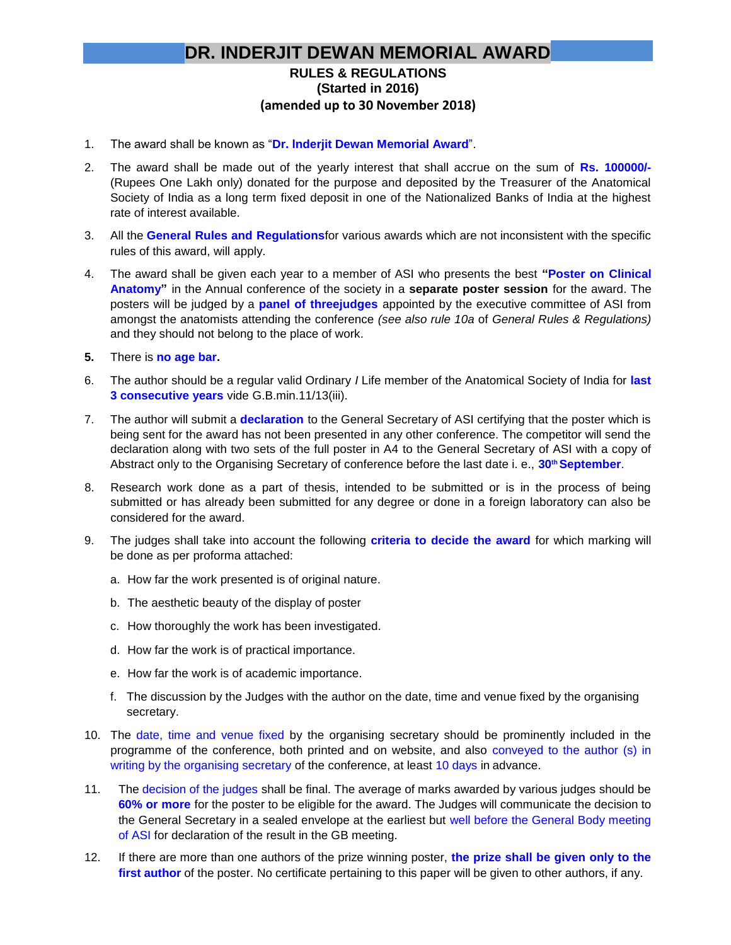## **DR. INDERJIT DEWAN MEMORIAL AWARD**

## **RULES & REGULATIONS (Started in 2016) (amended up to 30 November 2018)**

- 1. The award shall be known as "**Dr. lnderjit Dewan Memorial Award**".
- 2. The award shall be made out of the yearly interest that shall accrue on the sum of **Rs. 100000/-** (Rupees One Lakh only) donated for the purpose and deposited by the Treasurer of the Anatomical Society of India as a long term fixed deposit in one of the Nationalized Banks of India at the highest rate of interest available.
- 3. All the **General Rules and Regulations**for various awards which are not inconsistent with the specific rules of this award, will apply.
- 4. The award shall be given each year to a member of ASI who presents the best **"Poster on Clinical Anatomy"** in the Annual conference of the society in a **separate poster session** for the award. The posters will be judged by a **panel of threejudges** appointed by the executive committee of ASI from amongst the anatomists attending the conference *(see also rule 10a* of *General Rules & Regulations)*  and they should not belong to the place of work.
- **5.** There is **no age bar.**
- 6. The author should be a regular valid Ordinary *I* Life member of the Anatomical Society of India for **last 3 consecutive years** vide G.B.min.11/13(iii).
- 7. The author will submit a **declaration** to the General Secretary of ASI certifying that the poster which is being sent for the award has not been presented in any other conference. The competitor will send the declaration along with two sets of the full poster in A4 to the General Secretary of ASI with a copy of Abstract only to the Organising Secretary of conference before the last date i. e., **30thSeptember**.
- 8. Research work done as a part of thesis, intended to be submitted or is in the process of being submitted or has already been submitted for any degree or done in a foreign laboratory can also be considered for the award.
- 9. The judges shall take into account the following **criteria to decide the award** for which marking will be done as per proforma attached:
	- a. How far the work presented is of original nature.
	- b. The aesthetic beauty of the display of poster
	- c. How thoroughly the work has been investigated.
	- d. How far the work is of practical importance.
	- e. How far the work is of academic importance.
	- f. The discussion by the Judges with the author on the date, time and venue fixed by the organising secretary.
- 10. The date, time and venue fixed by the organising secretary should be prominently included in the programme of the conference, both printed and on website, and also conveyed to the author (s) in writing by the organising secretary of the conference, at least 10 days in advance.
- 11. The decision of the judges shall be final. The average of marks awarded by various judges should be **60% or more** for the poster to be eligible for the award. The Judges will communicate the decision to the General Secretary in a sealed envelope at the earliest but well before the General Body meeting of ASI for declaration of the result in the GB meeting.
- 12. If there are more than one authors of the prize winning poster, **the prize shall be given only to the first author** of the poster. No certificate pertaining to this paper will be given to other authors, if any.